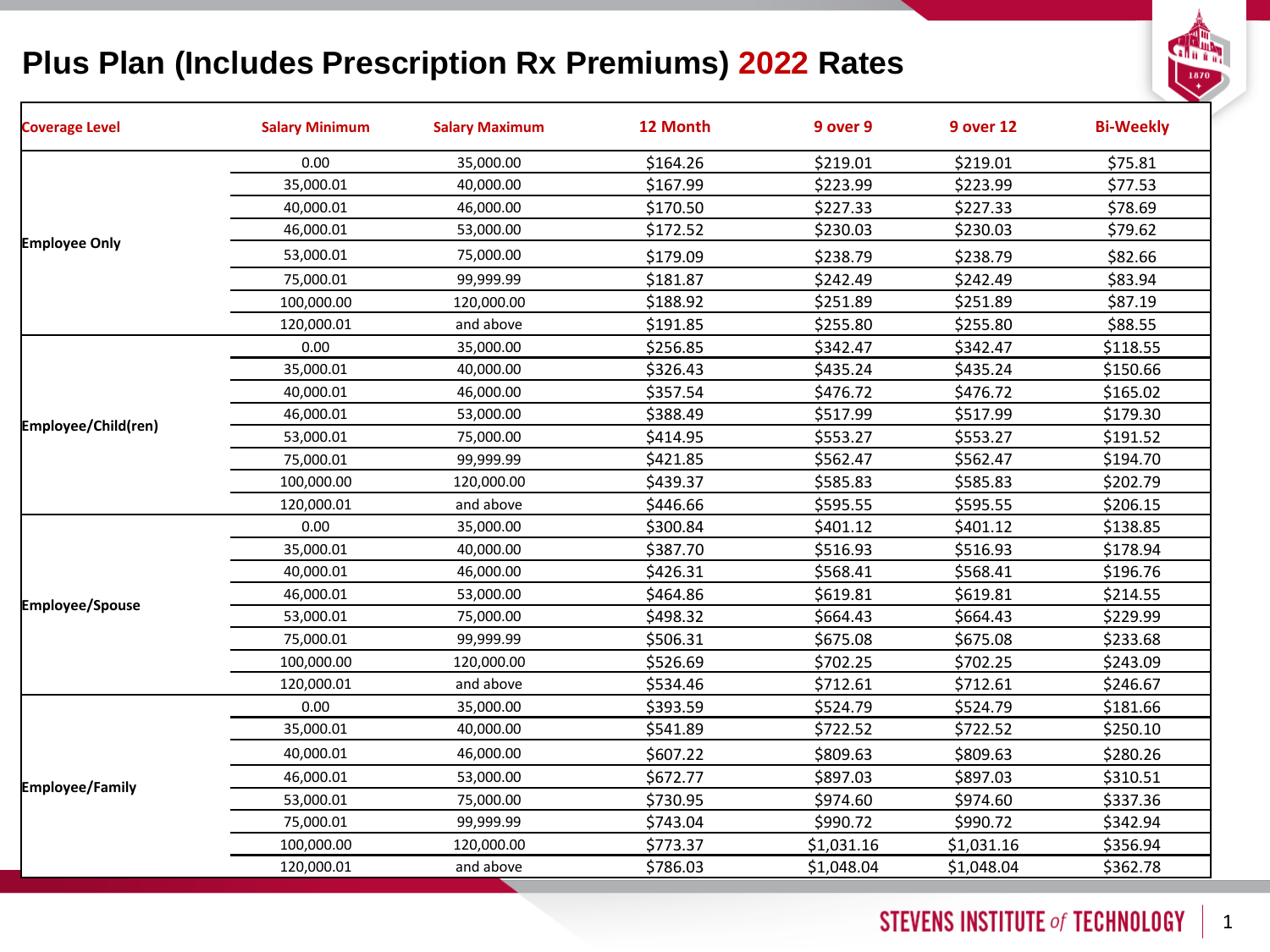### **Plus Plan (Includes Prescription Rx Premiums) 2022 Rates**



| <b>Coverage Level</b>  | <b>Salary Minimum</b> | <b>Salary Maximum</b> | 12 Month | 9 over 9   | <b>9 over 12</b> | <b>Bi-Weekly</b> |
|------------------------|-----------------------|-----------------------|----------|------------|------------------|------------------|
|                        | 0.00                  | 35,000.00             | \$164.26 | \$219.01   | \$219.01         | \$75.81          |
|                        | 35,000.01             | 40,000.00             | \$167.99 | \$223.99   | \$223.99         | \$77.53          |
|                        | 40,000.01             | 46,000.00             | \$170.50 | \$227.33   | \$227.33         | \$78.69          |
|                        | 46,000.01             | 53,000.00             | \$172.52 | \$230.03   | \$230.03         | \$79.62          |
| <b>Employee Only</b>   | 53,000.01             | 75,000.00             | \$179.09 | \$238.79   | \$238.79         | \$82.66          |
|                        | 75,000.01             | 99,999.99             | \$181.87 | \$242.49   | \$242.49         | \$83.94          |
|                        | 100,000.00            | 120,000.00            | \$188.92 | \$251.89   | \$251.89         | \$87.19          |
|                        | 120,000.01            | and above             | \$191.85 | \$255.80   | \$255.80         | \$88.55          |
|                        | 0.00                  | 35,000.00             | \$256.85 | \$342.47   | \$342.47         | \$118.55         |
|                        | 35,000.01             | 40,000.00             | \$326.43 | \$435.24   | \$435.24         | \$150.66         |
|                        | 40,000.01             | 46,000.00             | \$357.54 | \$476.72   | \$476.72         | \$165.02         |
|                        | 46,000.01             | 53,000.00             | \$388.49 | \$517.99   | \$517.99         | \$179.30         |
| Employee/Child(ren)    | 53,000.01             | 75,000.00             | \$414.95 | \$553.27   | \$553.27         | \$191.52         |
|                        | 75,000.01             | 99,999.99             | \$421.85 | \$562.47   | \$562.47         | \$194.70         |
|                        | 100,000.00            | 120,000.00            | \$439.37 | \$585.83   | \$585.83         | \$202.79         |
|                        | 120,000.01            | and above             | \$446.66 | \$595.55   | \$595.55         | \$206.15         |
|                        | 0.00                  | 35,000.00             | \$300.84 | \$401.12   | \$401.12         | \$138.85         |
|                        | 35,000.01             | 40,000.00             | \$387.70 | \$516.93   | \$516.93         | \$178.94         |
|                        | 40,000.01             | 46,000.00             | \$426.31 | \$568.41   | \$568.41         | \$196.76         |
| <b>Employee/Spouse</b> | 46,000.01             | 53,000.00             | \$464.86 | \$619.81   | \$619.81         | \$214.55         |
|                        | 53,000.01             | 75,000.00             | \$498.32 | \$664.43   | \$664.43         | \$229.99         |
|                        | 75,000.01             | 99,999.99             | \$506.31 | \$675.08   | \$675.08         | \$233.68         |
|                        | 100,000.00            | 120,000.00            | \$526.69 | \$702.25   | \$702.25         | \$243.09         |
|                        | 120,000.01            | and above             | \$534.46 | \$712.61   | \$712.61         | \$246.67         |
|                        | 0.00                  | 35,000.00             | \$393.59 | \$524.79   | \$524.79         | \$181.66         |
| <b>Employee/Family</b> | 35,000.01             | 40,000.00             | \$541.89 | \$722.52   | \$722.52         | \$250.10         |
|                        | 40,000.01             | 46,000.00             | \$607.22 | \$809.63   | \$809.63         | \$280.26         |
|                        | 46,000.01             | 53,000.00             | \$672.77 | \$897.03   | \$897.03         | \$310.51         |
|                        | 53,000.01             | 75,000.00             | \$730.95 | \$974.60   | \$974.60         | \$337.36         |
|                        | 75,000.01             | 99,999.99             | \$743.04 | \$990.72   | \$990.72         | \$342.94         |
|                        | 100,000.00            | 120,000.00            | \$773.37 | \$1,031.16 | \$1,031.16       | \$356.94         |
|                        | 120,000.01            | and above             | \$786.03 | \$1,048.04 | \$1,048.04       | \$362.78         |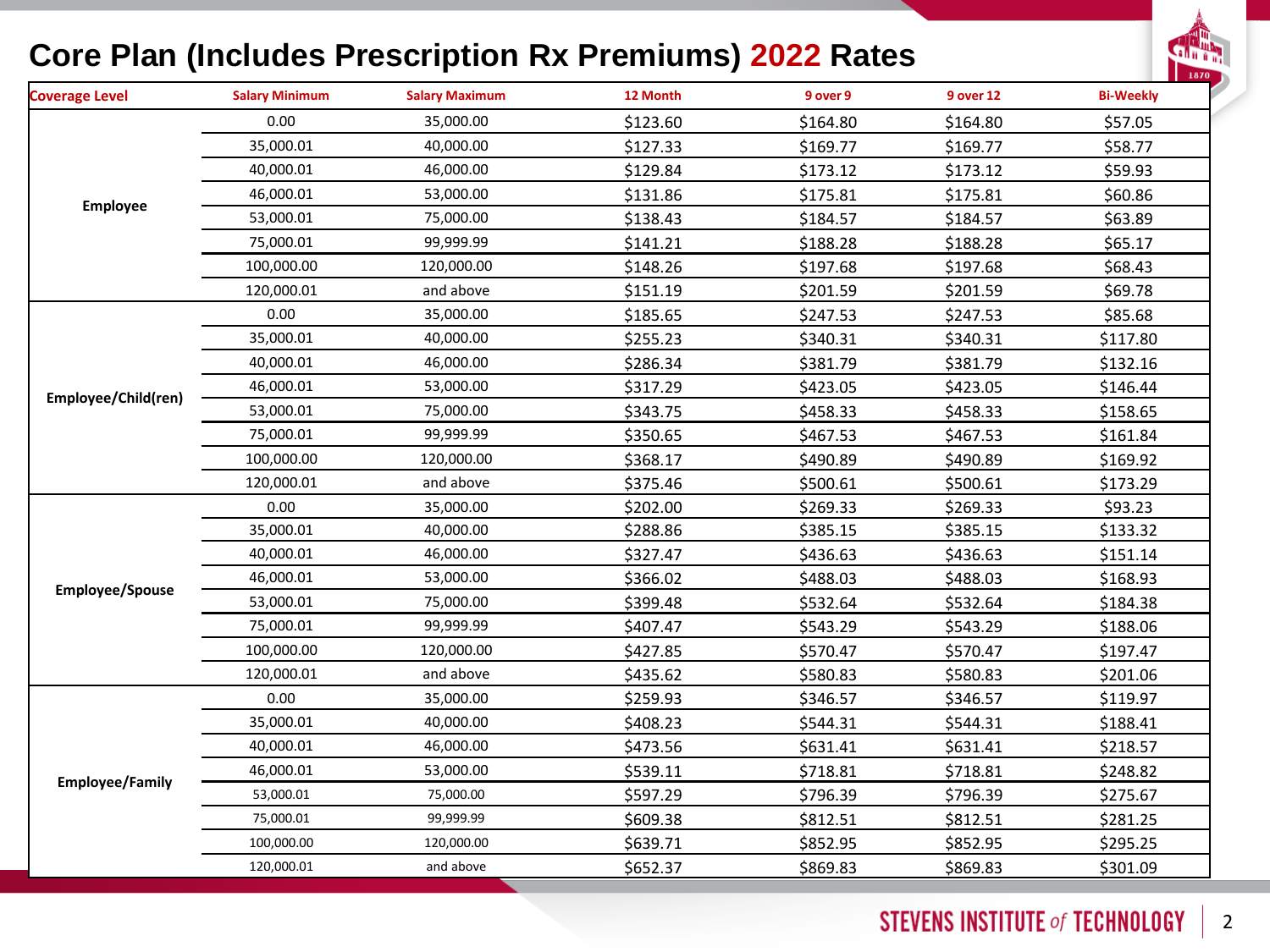#### **Core Plan (Includes Prescription Rx Premiums) 2022 Rates**



| <b>Coverage Level</b>  | <b>Salary Minimum</b> | <b>Salary Maximum</b> | 12 Month | 9 over 9 | 9 over 12 | <b>Bi-Weekly</b> |
|------------------------|-----------------------|-----------------------|----------|----------|-----------|------------------|
|                        | 0.00                  | 35,000.00             | \$123.60 | \$164.80 | \$164.80  | \$57.05          |
|                        | 35,000.01             | 40,000.00             | \$127.33 | \$169.77 | \$169.77  | \$58.77          |
|                        | 40,000.01             | 46,000.00             | \$129.84 | \$173.12 | \$173.12  | \$59.93          |
|                        | 46,000.01             | 53,000.00             | \$131.86 | \$175.81 | \$175.81  | \$60.86          |
| <b>Employee</b>        | 53,000.01             | 75,000.00             | \$138.43 | \$184.57 | \$184.57  | \$63.89          |
|                        | 75,000.01             | 99,999.99             | \$141.21 | \$188.28 | \$188.28  | \$65.17          |
|                        | 100,000.00            | 120,000.00            | \$148.26 | \$197.68 | \$197.68  | \$68.43          |
|                        | 120,000.01            | and above             | \$151.19 | \$201.59 | \$201.59  | \$69.78          |
|                        | 0.00                  | 35,000.00             | \$185.65 | \$247.53 | \$247.53  | \$85.68          |
|                        | 35,000.01             | 40,000.00             | \$255.23 | \$340.31 | \$340.31  | \$117.80         |
|                        | 40,000.01             | 46,000.00             | \$286.34 | \$381.79 | \$381.79  | \$132.16         |
|                        | 46,000.01             | 53,000.00             | \$317.29 | \$423.05 | \$423.05  | \$146.44         |
| Employee/Child(ren)    | 53,000.01             | 75,000.00             | \$343.75 | \$458.33 | \$458.33  | \$158.65         |
|                        | 75,000.01             | 99,999.99             | \$350.65 | \$467.53 | \$467.53  | \$161.84         |
|                        | 100,000.00            | 120,000.00            | \$368.17 | \$490.89 | \$490.89  | \$169.92         |
|                        | 120,000.01            | and above             | \$375.46 | \$500.61 | \$500.61  | \$173.29         |
|                        | 0.00                  | 35,000.00             | \$202.00 | \$269.33 | \$269.33  | \$93.23          |
|                        | 35,000.01             | 40,000.00             | \$288.86 | \$385.15 | \$385.15  | \$133.32         |
|                        | 40,000.01             | 46,000.00             | \$327.47 | \$436.63 | \$436.63  | \$151.14         |
|                        | 46,000.01             | 53,000.00             | \$366.02 | \$488.03 | \$488.03  | \$168.93         |
| <b>Employee/Spouse</b> | 53,000.01             | 75,000.00             | \$399.48 | \$532.64 | \$532.64  | \$184.38         |
|                        | 75,000.01             | 99,999.99             | \$407.47 | \$543.29 | \$543.29  | \$188.06         |
|                        | 100,000.00            | 120,000.00            | \$427.85 | \$570.47 | \$570.47  | \$197.47         |
|                        | 120,000.01            | and above             | \$435.62 | \$580.83 | \$580.83  | \$201.06         |
|                        | 0.00                  | 35,000.00             | \$259.93 | \$346.57 | \$346.57  | \$119.97         |
| <b>Employee/Family</b> | 35,000.01             | 40,000.00             | \$408.23 | \$544.31 | \$544.31  | \$188.41         |
|                        | 40,000.01             | 46,000.00             | \$473.56 | \$631.41 | \$631.41  | \$218.57         |
|                        | 46,000.01             | 53,000.00             | \$539.11 | \$718.81 | \$718.81  | \$248.82         |
|                        | 53,000.01             | 75,000.00             | \$597.29 | \$796.39 | \$796.39  | \$275.67         |
|                        | 75,000.01             | 99,999.99             | \$609.38 | \$812.51 | \$812.51  | \$281.25         |
|                        | 100,000.00            | 120,000.00            | \$639.71 | \$852.95 | \$852.95  | \$295.25         |
|                        | 120,000.01            | and above             | \$652.37 | \$869.83 | \$869.83  | \$301.09         |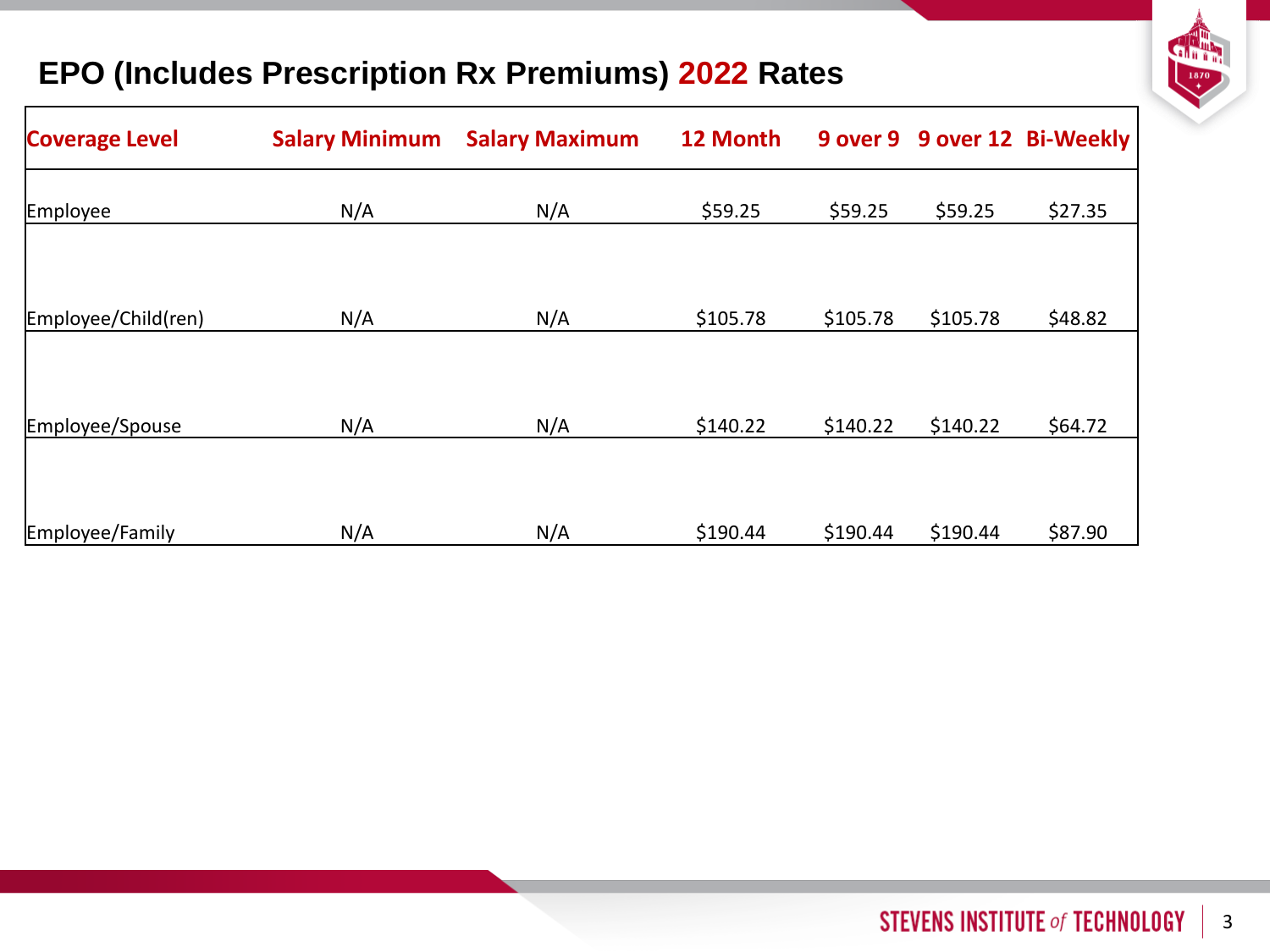

#### **EPO (Includes Prescription Rx Premiums) 2022 Rates**

| <b>Coverage Level</b> | <b>Salary Minimum</b> | <b>Salary Maximum</b> | 12 Month |          |          | 9 over 9 9 over 12 Bi-Weekly |
|-----------------------|-----------------------|-----------------------|----------|----------|----------|------------------------------|
| <b>Employee</b>       | N/A                   | N/A                   | \$59.25  | \$59.25  | \$59.25  | \$27.35                      |
|                       |                       |                       |          |          |          |                              |
| Employee/Child(ren)   | N/A                   | N/A                   | \$105.78 | \$105.78 | \$105.78 | \$48.82                      |
|                       |                       |                       |          |          |          |                              |
| Employee/Spouse       | N/A                   | N/A                   | \$140.22 | \$140.22 | \$140.22 | \$64.72                      |
|                       |                       |                       |          |          |          |                              |
| Employee/Family       | N/A                   | N/A                   | \$190.44 | \$190.44 | \$190.44 | \$87.90                      |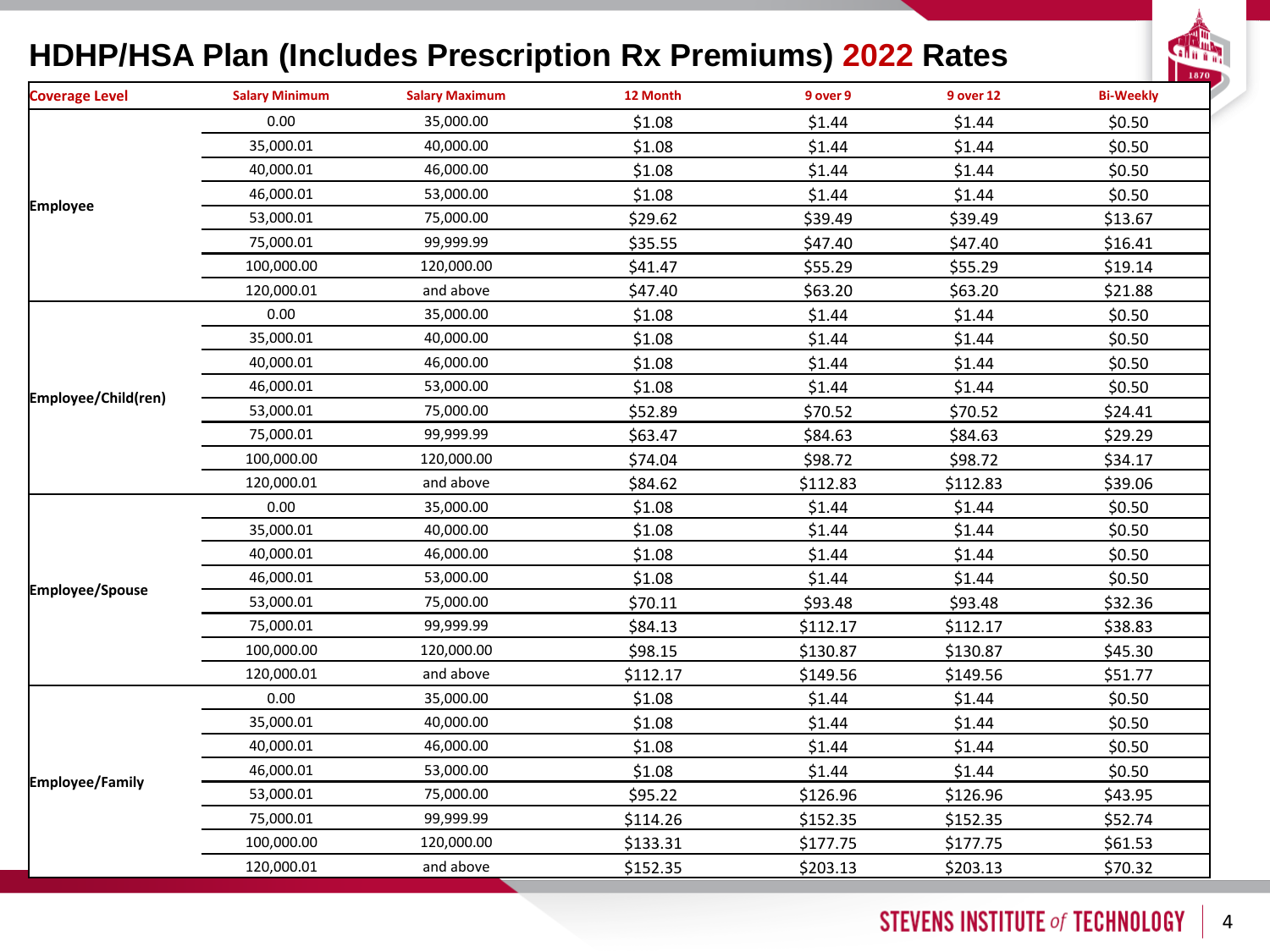### **HDHP/HSA Plan (Includes Prescription Rx Premiums) 2022 Rates**



| <b>Coverage Level</b>  | <b>Salary Minimum</b> | <b>Salary Maximum</b> | 12 Month | 9 over 9 | <b>9 over 12</b> | <b>Bi-Weekly</b> |
|------------------------|-----------------------|-----------------------|----------|----------|------------------|------------------|
|                        | 0.00                  | 35,000.00             | \$1.08   | \$1.44   | \$1.44           | \$0.50           |
|                        | 35,000.01             | 40,000.00             | \$1.08   | \$1.44   | \$1.44           | \$0.50           |
|                        | 40,000.01             | 46,000.00             | \$1.08   | \$1.44   | \$1.44           | \$0.50           |
|                        | 46,000.01             | 53,000.00             | \$1.08   | \$1.44   | \$1.44           | \$0.50           |
| <b>Employee</b>        | 53,000.01             | 75,000.00             | \$29.62  | \$39.49  | \$39.49          | \$13.67          |
|                        | 75,000.01             | 99,999.99             | \$35.55  | \$47.40  | \$47.40          | \$16.41          |
|                        | 100,000.00            | 120,000.00            | \$41.47  | \$55.29  | \$55.29          | \$19.14          |
|                        | 120,000.01            | and above             | \$47.40  | \$63.20  | \$63.20          | \$21.88          |
|                        | 0.00                  | 35,000.00             | \$1.08   | \$1.44   | \$1.44           | \$0.50           |
|                        | 35,000.01             | 40,000.00             | \$1.08   | \$1.44   | \$1.44           | \$0.50           |
|                        | 40,000.01             | 46,000.00             | \$1.08   | \$1.44   | \$1.44           | \$0.50           |
| Employee/Child(ren)    | 46,000.01             | 53,000.00             | \$1.08   | \$1.44   | \$1.44           | \$0.50           |
|                        | 53,000.01             | 75,000.00             | \$52.89  | \$70.52  | \$70.52          | \$24.41          |
|                        | 75,000.01             | 99,999.99             | \$63.47  | \$84.63  | \$84.63          | \$29.29          |
|                        | 100,000.00            | 120,000.00            | \$74.04  | \$98.72  | \$98.72          | \$34.17          |
|                        | 120,000.01            | and above             | \$84.62  | \$112.83 | \$112.83         | \$39.06          |
|                        | 0.00                  | 35,000.00             | \$1.08   | \$1.44   | \$1.44           | \$0.50           |
|                        | 35,000.01             | 40,000.00             | \$1.08   | \$1.44   | \$1.44           | \$0.50           |
|                        | 40,000.01             | 46,000.00             | \$1.08   | \$1.44   | \$1.44           | \$0.50           |
| <b>Employee/Spouse</b> | 46,000.01             | 53,000.00             | \$1.08   | \$1.44   | \$1.44           | \$0.50           |
|                        | 53,000.01             | 75,000.00             | \$70.11  | \$93.48  | \$93.48          | \$32.36          |
|                        | 75,000.01             | 99,999.99             | \$84.13  | \$112.17 | \$112.17         | \$38.83          |
|                        | 100,000.00            | 120,000.00            | \$98.15  | \$130.87 | \$130.87         | \$45.30          |
|                        | 120,000.01            | and above             | \$112.17 | \$149.56 | \$149.56         | \$51.77          |
|                        | 0.00                  | 35,000.00             | \$1.08   | \$1.44   | \$1.44           | \$0.50           |
| <b>Employee/Family</b> | 35,000.01             | 40,000.00             | \$1.08   | \$1.44   | \$1.44           | \$0.50           |
|                        | 40,000.01             | 46,000.00             | \$1.08   | \$1.44   | \$1.44           | \$0.50           |
|                        | 46,000.01             | 53,000.00             | \$1.08   | \$1.44   | \$1.44           | \$0.50           |
|                        | 53,000.01             | 75,000.00             | \$95.22  | \$126.96 | \$126.96         | \$43.95          |
|                        | 75,000.01             | 99,999.99             | \$114.26 | \$152.35 | \$152.35         | \$52.74          |
|                        | 100,000.00            | 120,000.00            | \$133.31 | \$177.75 | \$177.75         | \$61.53          |
|                        | 120,000.01            | and above             | \$152.35 | \$203.13 | \$203.13         | \$70.32          |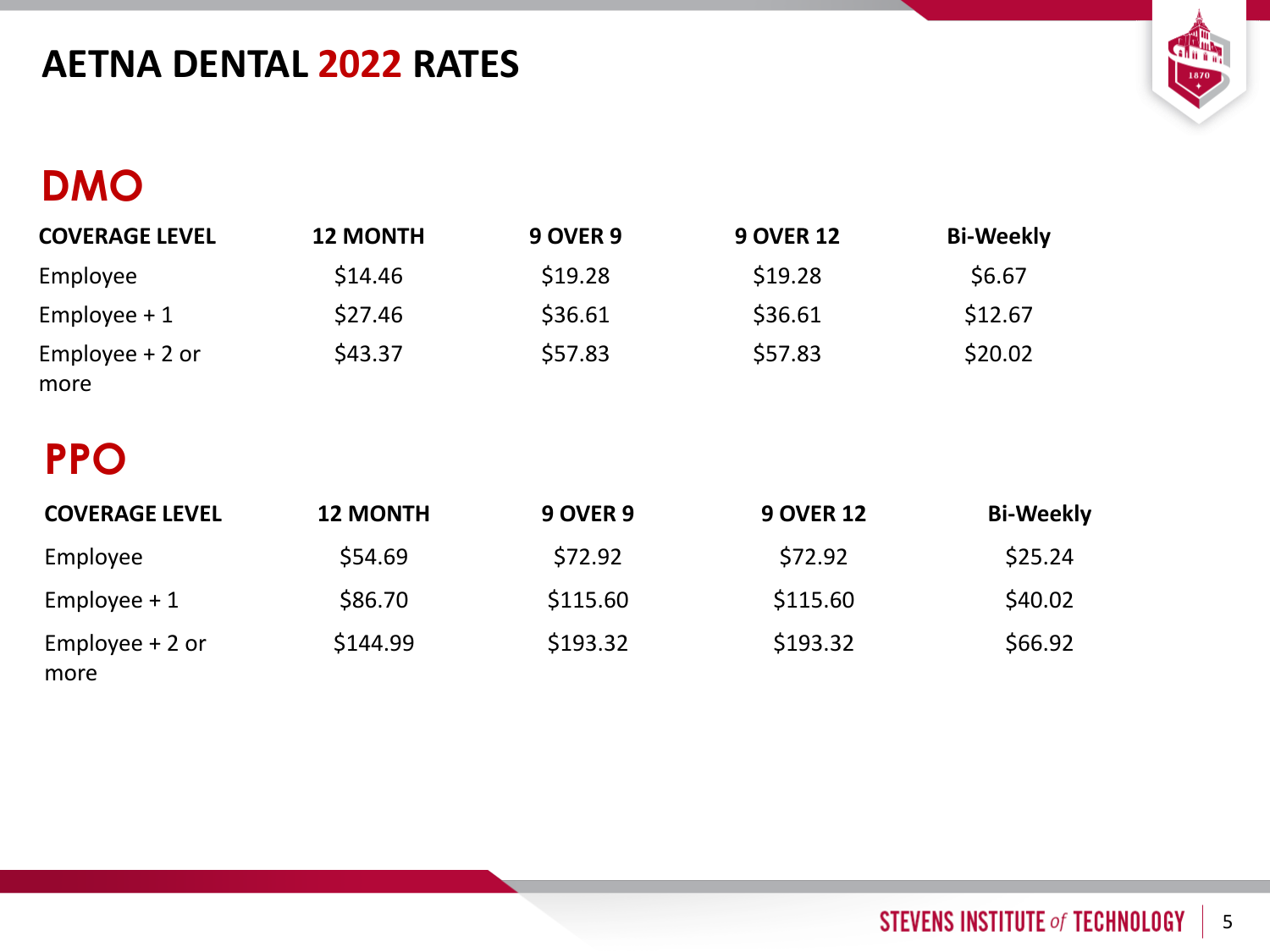## **AETNA DENTAL 2022 RATES**



# **DMO**

| <b>COVERAGE LEVEL</b>    | <b>12 MONTH</b> | <b>9 OVER 9</b> | <b>9 OVER 12</b> | <b>Bi-Weekly</b> |
|--------------------------|-----------------|-----------------|------------------|------------------|
| Employee                 | \$14.46         | \$19.28         | \$19.28          | \$6.67           |
| Employee $+1$            | \$27.46         | \$36.61         | \$36.61          | \$12.67          |
| Employee $+2$ or<br>more | \$43.37         | \$57.83         | \$57.83          | \$20.02          |

# **PPO**

| <b>COVERAGE LEVEL</b>    | <b>12 MONTH</b> | <b>9 OVER 9</b> | <b>9 OVER 12</b> | <b>Bi-Weekly</b> |
|--------------------------|-----------------|-----------------|------------------|------------------|
| Employee                 | \$54.69         | \$72.92         | \$72.92          | \$25.24          |
| Employee $+1$            | \$86.70         | \$115.60        | \$115.60         | \$40.02          |
| Employee $+2$ or<br>more | \$144.99        | \$193.32        | \$193.32         | \$66.92          |